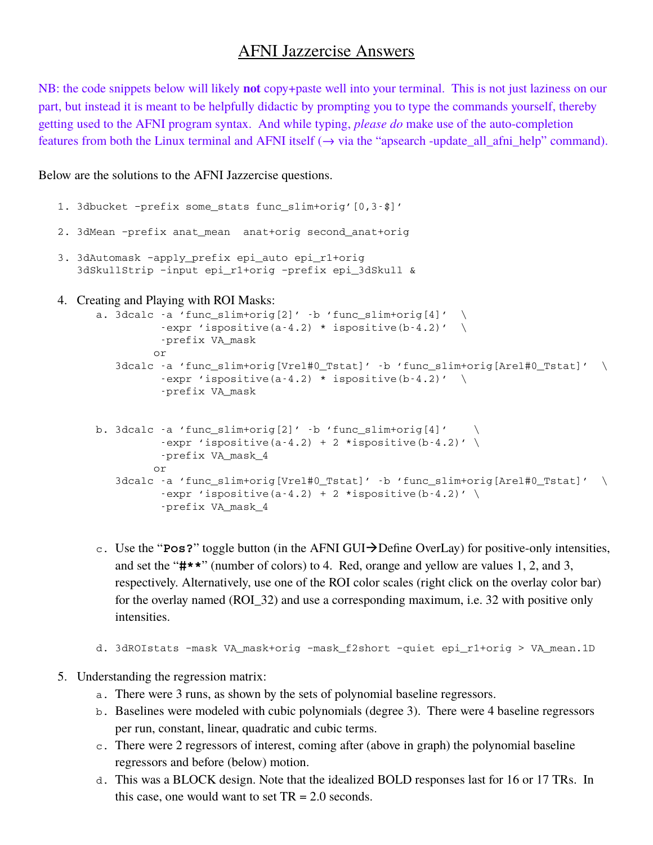# AFNI Jazzercise Answers

NB: the code snippets below will likely **not** copy+paste well into your terminal. This is not just laziness on our part, but instead it is meant to be helpfully didactic by prompting you to type the commands yourself, thereby getting used to the AFNI program syntax. And while typing, *please do* make use of the auto-completion features from both the Linux terminal and AFNI itself (→ via the "apsearch -update\_all\_afni\_help" command).

### Below are the solutions to the AFNI Jazzercise questions.

```
1. 3dbucket -prefix some_stats func_slim+orig'[0,3-$]'
2. 3dMean –prefix anat_mean  anat+orig second_anat+orig
3. 3dAutomask –apply_prefix epi_auto epi_r1+orig
   3dSkullStrip –input epi_r1+orig –prefix epi_3dSkull &
4. Creating and Playing with ROI Masks:
      a. 3dcalc -a 'func_slim+orig[2]' -b 'func_slim+orig[4]' \setminus-expr 'ispositive(a-4.2) * ispositive(b-4.2)' \setminusprefix VA_mask
               or
         3dcalc -a 'func_slim+orig[Vrel#0_Tstat]' -b 'func_slim+orig[Arel#0_Tstat]' \setminus-expr 'ispositive(a-4.2) * ispositive(b-4.2)' \setminusprefix VA_mask
      b. 3dcalc -a 'func slim+orig[2]' -b 'func slim+orig[4]'
                -expr 'ispositive(a-4.2) + 2 *ispositive(b-4.2)' \
                prefix VA_mask_4
               or
         3dcalc -a 'func_slim+orig[Vrel#0_Tstat]' -b 'func_slim+orig[Arel#0_Tstat]' \setminus-expr 'ispositive(a-4.2) + 2 *ispositive(b-4.2)' \
                -prefix VA mask 4
```
- c. Use the "**Pos?**" toggle button (in the AFNI GUI $\rightarrow$ Define OverLay) for positive-only intensities, and set the "**#\*\***" (number of colors) to 4. Red, orange and yellow are values 1, 2, and 3, respectively. Alternatively, use one of the ROI color scales (right click on the overlay color bar) for the overlay named (ROI\_32) and use a corresponding maximum, i.e. 32 with positive only intensities.
- d. 3dROIstats –mask VA\_mask+orig –mask\_f2short –quiet epi\_r1+orig > VA\_mean.1D

## 5. Understanding the regression matrix:

- a. There were 3 runs, as shown by the sets of polynomial baseline regressors.
- b. Baselines were modeled with cubic polynomials (degree 3). There were 4 baseline regressors per run, constant, linear, quadratic and cubic terms.
- c. There were 2 regressors of interest, coming after (above in graph) the polynomial baseline regressors and before (below) motion.
- d. This was a BLOCK design. Note that the idealized BOLD responses last for 16 or 17 TRs. In this case, one would want to set  $TR = 2.0$  seconds.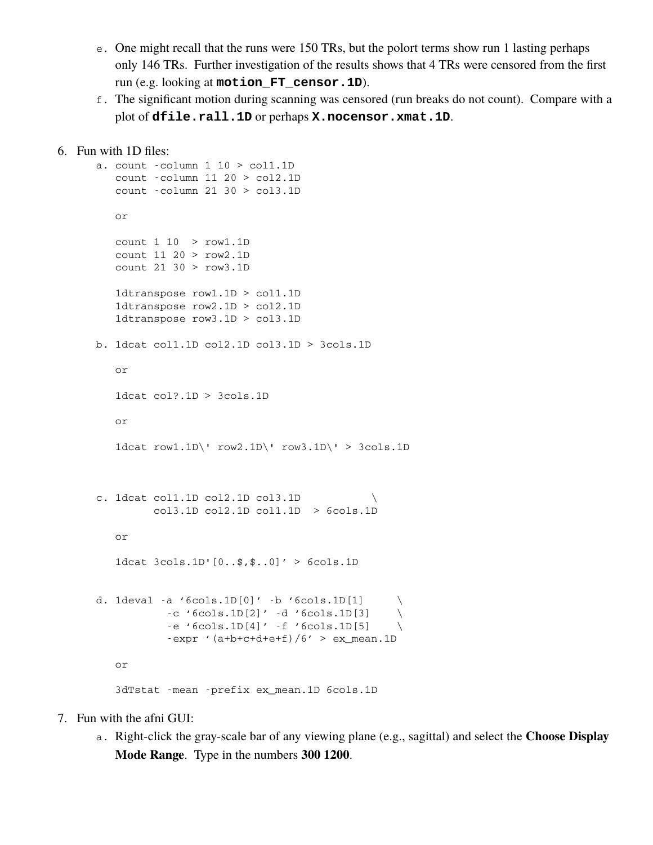- e. One might recall that the runs were 150 TRs, but the polort terms show run 1 lasting perhaps only 146 TRs. Further investigation of the results shows that 4 TRs were censored from the first run (e.g. looking at **motion\_FT\_censor.1D**).
- f. The significant motion during scanning was censored (run breaks do not count). Compare with a plot of **dfile.rall.1D** or perhaps **X.nocensor.xmat.1D**.

```
6. Fun with 1D files:
```

```
a. count column 1 10 > col1.1D
   count column 11 20 > col2.1D
   count column 21 30 > col3.1D
        or
   count 1 10  > row1.1D
   count 11 20 > row2.1D
   count 21 30 > row3.1D
   1dtranspose row1.1D > col1.1D
   1dtranspose row2.1D > col2.1D
   1dtranspose row3.1D > col3.1D
b. 1dcat col1.1D col2.1D col3.1D > 3cols.1D
   or
   1dcat col?.1D > 3cols.1D
   or
   1dcat row1.1D\' row2.1D\' row3.1D\' > 3cols.1D
c. 1dcat col1.1D col2.1D col3.1D
        col3.1D col2.1D col1.1D  > 6cols.1D
   or
   1dcat 3cols.1D'[0..$,$..0]' > 6cols.1D
d. 1deval -a '6cols.1D[0]' -b '6cols.1D[1] \qquad \backslash-c '6cols.1D[2]' -d '6cols.1D[3]
          -e '6cols.1D[4]' -f '6cols.1D[5]
          -expr '(a+b+c+d+e+f)/6' > ex_mean.1D
   or
   3dTstat mean prefix ex_mean.1D 6cols.1D
```
- 7. Fun with the afni GUI:
	- a. Right-click the gray-scale bar of any viewing plane (e.g., sagittal) and select the **Choose Display Mode Range**. Type in the numbers **300 1200**.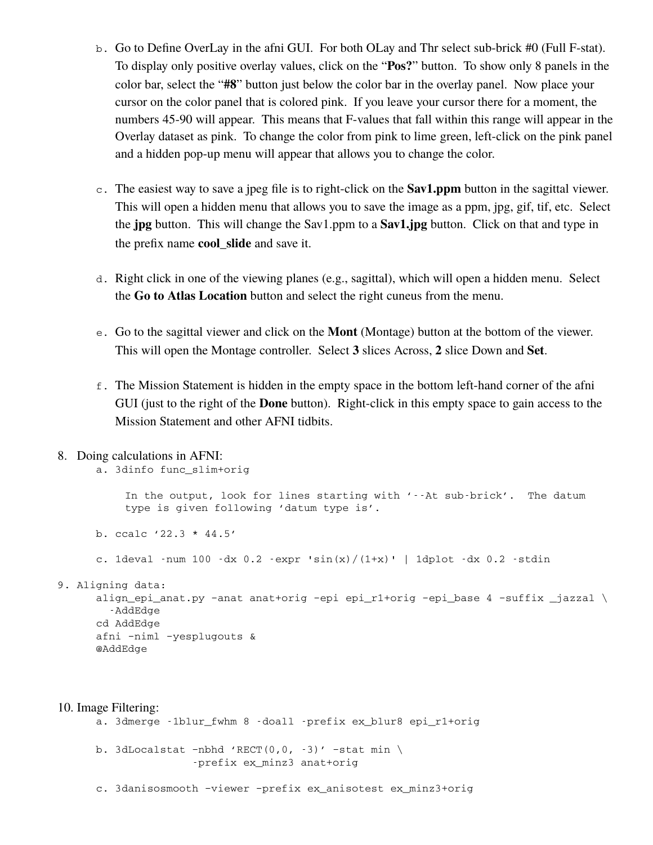- b. Go to Define OverLay in the afni GUI. For both OLay and Thr select sub-brick #0 (Full F-stat). To display only positive overlay values, click on the "**Pos?**" button. To show only 8 panels in the color bar, select the "**#8**" button just below the color bar in the overlay panel. Now place your cursor on the color panel that is colored pink. If you leave your cursor there for a moment, the numbers 45-90 will appear. This means that F-values that fall within this range will appear in the Overlay dataset as pink. To change the color from pink to lime green, left-click on the pink panel and a hidden pop-up menu will appear that allows you to change the color.
- c. The easiest way to save a jpeg file is to right-click on the **Sav1.ppm** button in the sagittal viewer. This will open a hidden menu that allows you to save the image as a ppm, jpg, gif, tif, etc. Select the **jpg** button. This will change the Sav1.ppm to a **Sav1.jpg** button. Click on that and type in the prefix name **cool\_slide** and save it.
- d. Right click in one of the viewing planes (e.g., sagittal), which will open a hidden menu. Select the **Go to Atlas Location** button and select the right cuneus from the menu.
- e. Go to the sagittal viewer and click on the **Mont** (Montage) button at the bottom of the viewer. This will open the Montage controller. Select **3** slices Across, **2** slice Down and **Set**.
- f. The Mission Statement is hidden in the empty space in the bottom left-hand corner of the afni GUI (just to the right of the **Done** button). Right-click in this empty space to gain access to the Mission Statement and other AFNI tidbits.

#### 8. Doing calculations in AFNI:

a. 3dinfo func\_slim+orig In the output, look for lines starting with '--At sub-brick'. The datum type is given following 'datum type is'. b. ccalc '22.3 \* 44.5' c. 1deval -num 100 -dx  $0.2$  -expr  $\sin(x)/(1+x)$ ' | 1dplot -dx  $0.2$  -stdin 9. Aligning data: align\_epi\_anat.py –anat anat+orig –epi epi\_r1+orig –epi\_base 4 –suffix \_jazzal \ AddEdge cd AddEdge afni –niml –yesplugouts & @AddEdge

# 10. Image Filtering:

```
a. 3dmerge -1blur_fwhm 8 -doall -prefix ex_blur8 epi_r1+orig
```
b. 3dLocalstat -nbhd 'RECT(0,0, -3)' -stat min \ prefix ex\_minz3 anat+orig

c. 3danisosmooth –viewer –prefix ex\_anisotest ex\_minz3+orig